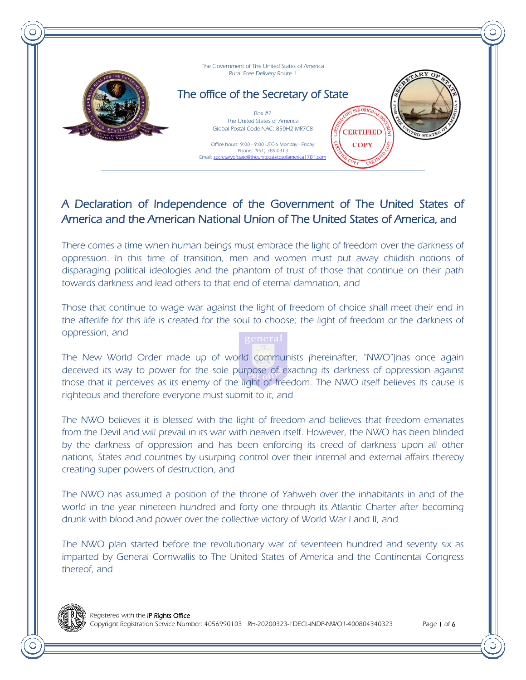



## The office of the Secretary of State

Box #2 The United States of America Global Postal Code-NAC: 850H2 MR7C8

**CERTIFIED COPY** 

Office hours: 9:00 - 9:00 UTC-6 Monday - Friday Phone: (951) 389-0313 Email: secretaryofstate@theunitedstatesofamerica1781.com

## A Declaration of Independence of the Government of The United States of America and the American National Union of The United States of America, and

There comes a time when human beings must embrace the light of freedom over the darkness of oppression. In this time of transition, men and women must put away childish notions of disparaging political ideologies and the phantom of trust of those that continue on their path towards darkness and lead others to that end of eternal damnation, and

Those that continue to wage war against the light of freedom of choice shall meet their end in the afterlife for this life is created for the soul to choose; the light of freedom or the darkness of oppression, and



The New World Order made up of world communists (hereinafter; "NWO")has once again deceived its way to power for the sole purpose of exacting its darkness of oppression against those that it perceives as its enemy of the light of freedom. The NWO itself believes its cause is righteous and therefore everyone must submit to it, and

The NWO believes it is blessed with the light of freedom and believes that freedom emanates from the Devil and will prevail in its war with heaven itself. However, the NWO has been blinded by the darkness of oppression and has been enforcing its creed of darkness upon all other nations, States and countries by usurping control over their internal and external affairs thereby creating super powers of destruction, and

The NWO has assumed a position of the throne of Yahweh over the inhabitants in and of the world in the year nineteen hundred and forty one through its Atlantic Charter after becoming drunk with blood and power over the collective victory of World War I and II, and

The NWO plan started before the revolutionary war of seventeen hundred and seventy six as imparted by General Cornwallis to The United States of America and the Continental Congress thereof, and

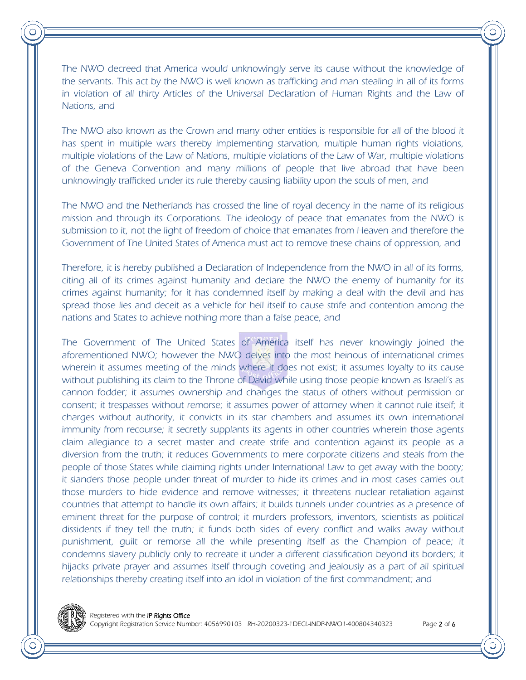The NWO decreed that America would unknowingly serve its cause without the knowledge of the servants. This act by the NWO is well known as trafficking and man stealing in all of its forms in violation of all thirty Articles of the Universal Declaration of Human Rights and the Law of Nations, and

The NWO also known as the Crown and many other entities is responsible for all of the blood it has spent in multiple wars thereby implementing starvation, multiple human rights violations, multiple violations of the Law of Nations, multiple violations of the Law of War, multiple violations of the Geneva Convention and many millions of people that live abroad that have been unknowingly trafficked under its rule thereby causing liability upon the souls of men, and

The NWO and the Netherlands has crossed the line of royal decency in the name of its religious mission and through its Corporations. The ideology of peace that emanates from the NWO is submission to it, not the light of freedom of choice that emanates from Heaven and therefore the Government of The United States of America must act to remove these chains of oppression, and

Therefore, it is hereby published a Declaration of Independence from the NWO in all of its forms, citing all of its crimes against humanity and declare the NWO the enemy of humanity for its crimes against humanity; for it has condemned itself by making a deal with the devil and has spread those lies and deceit as a vehicle for hell itself to cause strife and contention among the nations and States to achieve nothing more than a false peace, and

The Government of The United States of America itself has never knowingly joined the aforementioned NWO; however the NWO delves into the most heinous of international crimes wherein it assumes meeting of the minds where it does not exist; it assumes loyalty to its cause without publishing its claim to the Throne of David while using those people known as Israeli's as cannon fodder; it assumes ownership and changes the status of others without permission or consent; it trespasses without remorse; it assumes power of attorney when it cannot rule itself; it charges without authority, it convicts in its star chambers and assumes its own international immunity from recourse; it secretly supplants its agents in other countries wherein those agents claim allegiance to a secret master and create strife and contention against its people as a diversion from the truth; it reduces Governments to mere corporate citizens and steals from the people of those States while claiming rights under International Law to get away with the booty; it slanders those people under threat of murder to hide its crimes and in most cases carries out those murders to hide evidence and remove witnesses; it threatens nuclear retaliation against countries that attempt to handle its own affairs; it builds tunnels under countries as a presence of eminent threat for the purpose of control; it murders professors, inventors, scientists as political dissidents if they tell the truth; it funds both sides of every conflict and walks away without punishment, guilt or remorse all the while presenting itself as the Champion of peace; it condemns slavery publicly only to recreate it under a different classification beyond its borders; it hijacks private prayer and assumes itself through coveting and jealously as a part of all spiritual relationships thereby creating itself into an idol in violation of the first commandment; and

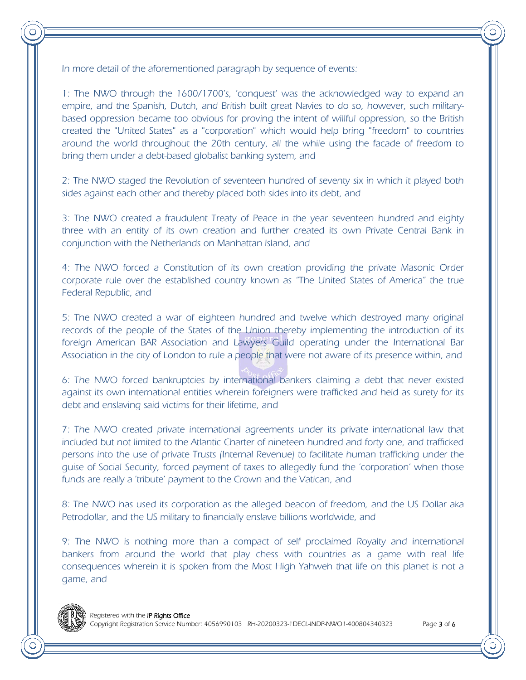In more detail of the aforementioned paragraph by sequence of events:

1: The NWO through the 1600/1700's, 'conquest' was the acknowledged way to expand an empire, and the Spanish, Dutch, and British built great Navies to do so, however, such militarybased oppression became too obvious for proving the intent of willful oppression, so the British created the "United States" as a "corporation" which would help bring "freedom" to countries around the world throughout the 20th century, all the while using the facade of freedom to bring them under a debt-based globalist banking system, and

2: The NWO staged the Revolution of seventeen hundred of seventy six in which it played both sides against each other and thereby placed both sides into its debt, and

3: The NWO created a fraudulent Treaty of Peace in the year seventeen hundred and eighty three with an entity of its own creation and further created its own Private Central Bank in conjunction with the Netherlands on Manhattan Island, and

4: The NWO forced a Constitution of its own creation providing the private Masonic Order corporate rule over the established country known as "The United States of America" the true Federal Republic, and

5: The NWO created a war of eighteen hundred and twelve which destroyed many original records of the people of the States of the Union thereby implementing the introduction of its foreign American BAR Association and Lawyers Guild operating under the International Bar Association in the city of London to rule a people that were not aware of its presence within, and

6: The NWO forced bankruptcies by international bankers claiming a debt that never existed against its own international entities wherein foreigners were trafficked and held as surety for its debt and enslaving said victims for their lifetime, and

7: The NWO created private international agreements under its private international law that included but not limited to the Atlantic Charter of nineteen hundred and forty one, and trafficked persons into the use of private Trusts (Internal Revenue) to facilitate human trafficking under the guise of Social Security, forced payment of taxes to allegedly fund the 'corporation' when those funds are really a 'tribute' payment to the Crown and the Vatican, and

8: The NWO has used its corporation as the alleged beacon of freedom, and the US Dollar aka Petrodollar, and the US military to financially enslave billions worldwide, and

9: The NWO is nothing more than a compact of self proclaimed Royalty and international bankers from around the world that play chess with countries as a game with real life consequences wherein it is spoken from the Most High Yahweh that life on this planet is not a game, and

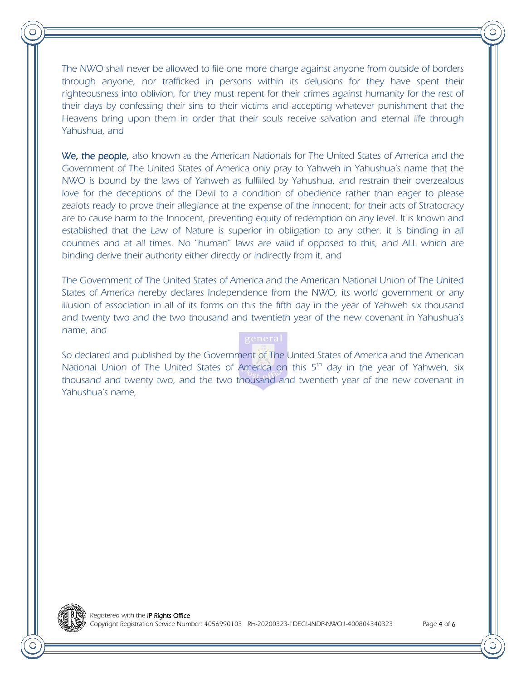The NWO shall never be allowed to file one more charge against anyone from outside of borders through anyone, nor trafficked in persons within its delusions for they have spent their righteousness into oblivion, for they must repent for their crimes against humanity for the rest of their days by confessing their sins to their victims and accepting whatever punishment that the Heavens bring upon them in order that their souls receive salvation and eternal life through Yahushua, and

We, the people, also known as the American Nationals for The United States of America and the Government of The United States of America only pray to Yahweh in Yahushua's name that the NWO is bound by the laws of Yahweh as fulfilled by Yahushua, and restrain their overzealous love for the deceptions of the Devil to a condition of obedience rather than eager to please zealots ready to prove their allegiance at the expense of the innocent; for their acts of Stratocracy are to cause harm to the Innocent, preventing equity of redemption on any level. It is known and established that the Law of Nature is superior in obligation to any other. It is binding in all countries and at all times. No "human" laws are valid if opposed to this, and ALL which are binding derive their authority either directly or indirectly from it, and

The Government of The United States of America and the American National Union of The United States of America hereby declares Independence from the NWO, its world government or any illusion of association in all of its forms on this the fifth day in the year of Yahweh six thousand and twenty two and the two thousand and twentieth year of the new covenant in Yahushua's name, and

So declared and published by the Government of The United States of America and the American National Union of The United States of America on this  $5<sup>th</sup>$  day in the year of Yahweh, six thousand and twenty two, and the two thousand and twentieth year of the new covenant in Yahushua's name,

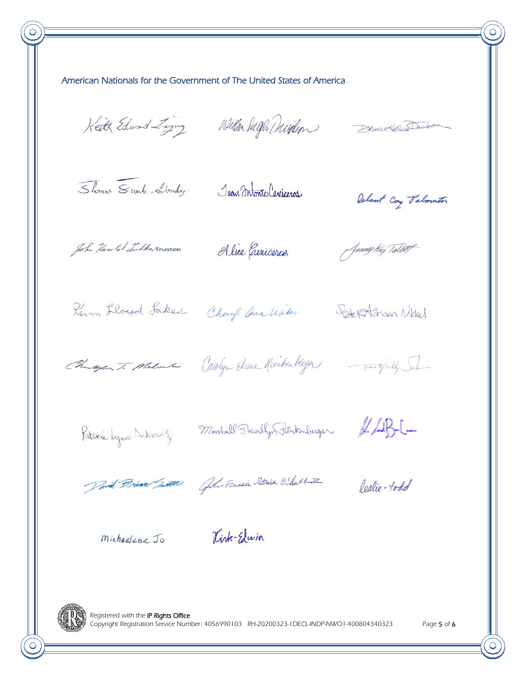American Nationals for the Government of The United States of America.

Keith Edward Ziging Willen Dagh Davidson

Boralt Kethleen Deweller

Shoms Stonk Londay

Juan Intonio Ceniceros

Delant Coy Palmenton

John Hawler Tulke, Trustee

Alice Cenicores

Jammy tray Talbert

Reven Lloyd Lakes Chayle ann With Reception Nikler

Changer T. Malon Carolyn Shone Runkenberger - partylidy Sule

Patricia Lynn Dehmalz

Marshall Thevelly Tinkenburger #45-1-

David Brian Junto Golo Flancis Patrick O'Sallett

Peslie-todd

Michaelenc Jo

Kirk-Elwin



Registered with the IP Rights Office Copyright Registration Service Number: 4056990103 RH-20200323-1DECL-INDP-NWO1-400804340323